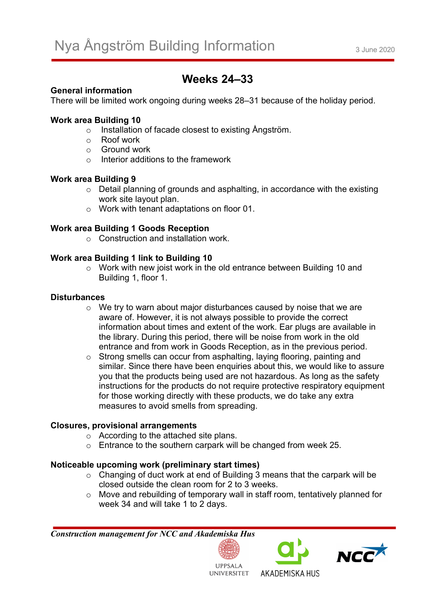# **Weeks 24–33**

# **General information**

There will be limited work ongoing during weeks 28–31 because of the holiday period.

# **Work area Building 10**

- o Installation of facade closest to existing Ångström.
- o Roof work
- o Ground work
- $\circ$  Interior additions to the framework

# **Work area Building 9**

- o Detail planning of grounds and asphalting, in accordance with the existing work site layout plan.
- o Work with tenant adaptations on floor 01.

# **Work area Building 1 Goods Reception**

o Construction and installation work.

# **Work area Building 1 link to Building 10**

o Work with new joist work in the old entrance between Building 10 and Building 1, floor 1.

# **Disturbances**

- $\circ$  We try to warn about major disturbances caused by noise that we are aware of. However, it is not always possible to provide the correct information about times and extent of the work. Ear plugs are available in the library. During this period, there will be noise from work in the old entrance and from work in Goods Reception, as in the previous period.
- o Strong smells can occur from asphalting, laying flooring, painting and similar. Since there have been enquiries about this, we would like to assure you that the products being used are not hazardous. As long as the safety instructions for the products do not require protective respiratory equipment for those working directly with these products, we do take any extra measures to avoid smells from spreading.

# **Closures, provisional arrangements**

- o According to the attached site plans.
- o Entrance to the southern carpark will be changed from week 25.

# **Noticeable upcoming work (preliminary start times)**

- o Changing of duct work at end of Building 3 means that the carpark will be closed outside the clean room for 2 to 3 weeks.
- o Move and rebuilding of temporary wall in staff room, tentatively planned for week 34 and will take 1 to 2 days.

*Construction management for NCC and Akademiska Hus*







UNIVERSITET